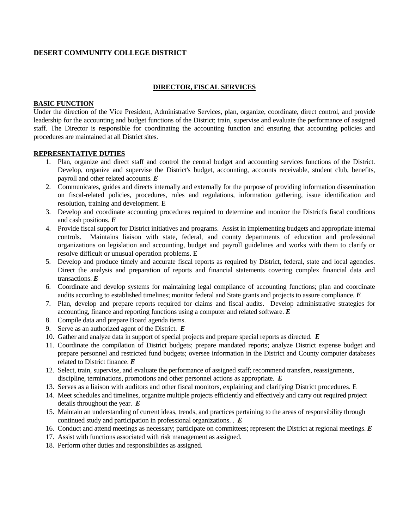# **DESERT COMMUNITY COLLEGE DISTRICT**

## **DIRECTOR, FISCAL SERVICES**

### **BASIC FUNCTION**

Under the direction of the Vice President, Administrative Services, plan, organize, coordinate, direct control, and provide leadership for the accounting and budget functions of the District; train, supervise and evaluate the performance of assigned staff. The Director is responsible for coordinating the accounting function and ensuring that accounting policies and procedures are maintained at all District sites.

#### **REPRESENTATIVE DUTIES**

- 1. Plan, organize and direct staff and control the central budget and accounting services functions of the District. Develop, organize and supervise the District's budget, accounting, accounts receivable, student club, benefits, payroll and other related accounts. *E*
- 2. Communicates, guides and directs internally and externally for the purpose of providing information dissemination on fiscal-related policies, procedures, rules and regulations, information gathering, issue identification and resolution, training and development. E
- 3. Develop and coordinate accounting procedures required to determine and monitor the District's fiscal conditions and cash positions. *E*
- 4. Provide fiscal support for District initiatives and programs. Assist in implementing budgets and appropriate internal controls. Maintains liaison with state, federal, and county departments of education and professional organizations on legislation and accounting, budget and payroll guidelines and works with them to clarify or resolve difficult or unusual operation problems. E
- 5. Develop and produce timely and accurate fiscal reports as required by District, federal, state and local agencies. Direct the analysis and preparation of reports and financial statements covering complex financial data and transactions. *E*
- 6. Coordinate and develop systems for maintaining legal compliance of accounting functions; plan and coordinate audits according to established timelines; monitor federal and State grants and projects to assure compliance. *E*
- 7. Plan, develop and prepare reports required for claims and fiscal audits. Develop administrative strategies for accounting, finance and reporting functions using a computer and related software. *E*
- 8. Compile data and prepare Board agenda items.
- 9. Serve as an authorized agent of the District. *E*
- 10. Gather and analyze data in support of special projects and prepare special reports as directed. *E*
- 11. Coordinate the compilation of District budgets; prepare mandated reports; analyze District expense budget and prepare personnel and restricted fund budgets; oversee information in the District and County computer databases related to District finance. *E*
- 12. Select, train, supervise, and evaluate the performance of assigned staff; recommend transfers, reassignments, discipline, terminations, promotions and other personnel actions as appropriate. *E*
- 13. Serves as a liaison with auditors and other fiscal monitors, explaining and clarifying District procedures. E
- 14. Meet schedules and timelines, organize multiple projects efficiently and effectively and carry out required project details throughout the year. *E*
- 15. Maintain an understanding of current ideas, trends, and practices pertaining to the areas of responsibility through continued study and participation in professional organizations. . *E*
- 16. Conduct and attend meetings as necessary; participate on committees; represent the District at regional meetings. *E*
- 17. Assist with functions associated with risk management as assigned.
- 18. Perform other duties and responsibilities as assigned.